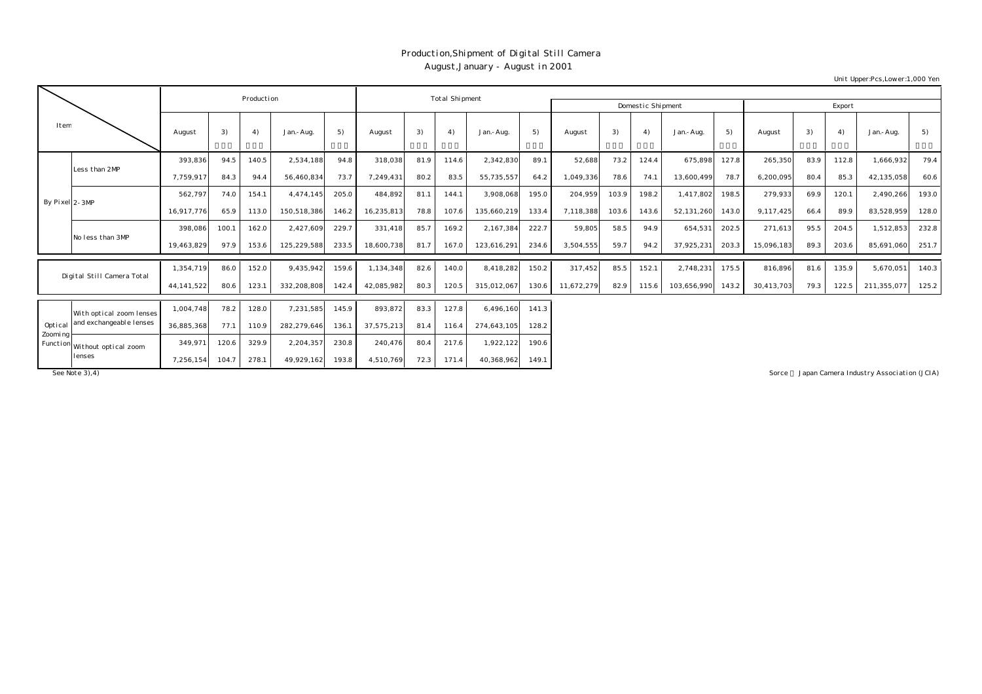## Production,Shipment of Digital Still Camera August,January - August in 2001

Export August 3) 4) Jan.-Aug. 5) August 3) 4) Jan.-Aug. 5) August 3) 4) Jan.-Aug. 5) August 3) 4) Jan.-Aug. 5) 393,836 94.5 140.5 2,534,188 94.8 318,038 81.9 114.6 2,342,830 89.1 52,688 73.2 124.4 675,898 127.8 265,350 83.9 112.8 1,666,932 79.4 7,759,917| 84.3| 94.4| 56,460,834| 73.7| 7,249,431| 80.2| 83.5| 55,735,557| 64.2| 1,049,336| 78.6| 74.1| 13,600,499| 78.7| 6,200,095| 80.4| 85.3| 42,135,058| 60.6 562,797 74.0 154.1 4,474,145 205.0 484,892 81.1 144.1 3,908,068 195.0 204,959 103.9 198.2 1,417,802 198.5 279,933 69.9 120.1 2,490,266 193.0 16,917,776 65.9 113.0 150,518,386 146.2 16,235,813 78.8 107.6 135,660,219 133.4 7,118,388 103.6 143.6 52,131,260 143.0 9,117,425 66.4 89.9 83,528,959 128.0 398,086 100.1 162.0 2,427,609 229.7 331,418 85.7 169.2 2,167,384 222.7 59,805 58.5 94.9 654,531 202.5 271,613 95.5 204.5 1,512,853 232.8 19,463,829 97.9 153.6 125,229,588 233.5 18,600,738 81.7 167.0 123,616,291 234.6 3,504,555 59.7 94.2 37,925,231 203.3 15,096,183 89.3 203.6 85,691,060 251.7 1,354,719| 86.0| 152.0| 9,435,942| 159.6| 1,134,348| 82.6| 140.0| 8,418,282| 150.2| 317,452| 85.5| 152.1| 2,748,231| 175.5| 816,896| 81.6| 135.9| 5,670,051| 140.3 44,141,522| 80.6| 123.1| 332,208,808| 142.4| 42,085,982| 80.3| 120.5| 315,012,067| 130.6| 11,672,279| 82.9| 115.6| 103,656,990| 143.2| 30,413,703| 79.3| 122.5| 211,355,077| 125.2 1,004,748 78.2 128.0 7,231,585 145.9 893,872 83.3 127.8 6,496,160 141.3 36,885,368 77.1 110.9 282,279,646 136.1 37,575,213 81.4 116.4 274,643,105 128.2 Optical Zooming Less than 2MP By Pixel 2-3MP No less than 3MP Digital Still Camera Total With optical zoom lenses and exchangeable lenses Production **Total Shipment** Production Domestic Shipment Item

> 349,971 120.6 329.9 2,204,357 230.8 240,476 80.4 217.6 1,922,122 190.6 7,256,154 104.7 278.1 49,929,162 193.8 4,510,769 72.3 171.4 40,368,962 149.1

Function Without optical zoom

lenses

See Note 3), 4) Sorce : Japan Camera Industry Association (JCIA)

Unit Upper:Pcs,Lower:1,000 Yen